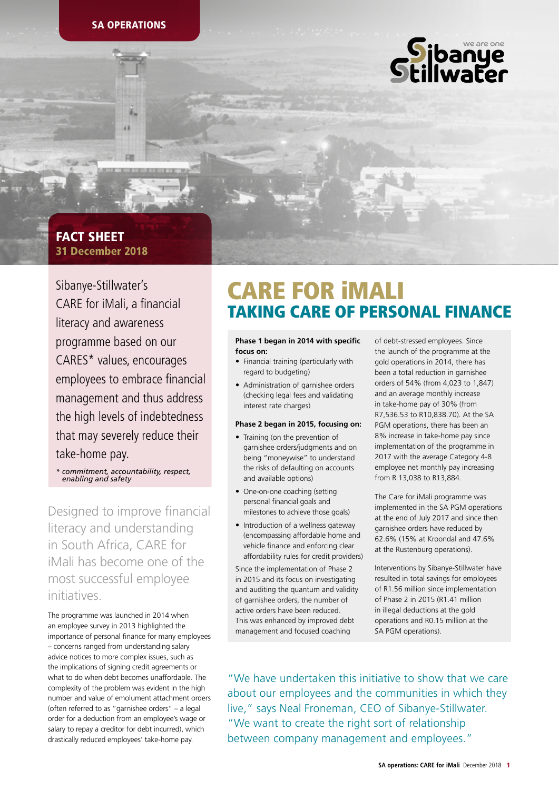

## 31 December 2018 FACT SHEET

Sibanye-Stillwater's CARE for iMali, a financial literacy and awareness programme based on our CARES\* values, encourages employees to embrace financial management and thus address the high levels of indebtedness that may severely reduce their take-home pay.

*\* commitment, accountability, respect, enabling and safety* 

Designed to improve financial literacy and understanding in South Africa, CARE for iMali has become one of the most successful employee initiatives.

The programme was launched in 2014 when an employee survey in 2013 highlighted the importance of personal finance for many employees – concerns ranged from understanding salary advice notices to more complex issues, such as the implications of signing credit agreements or what to do when debt becomes unaffordable. The complexity of the problem was evident in the high number and value of emolument attachment orders (often referred to as "garnishee orders" – a legal order for a deduction from an employee's wage or salary to repay a creditor for debt incurred), which drastically reduced employees' take-home pay.

# CARE FOR iMALI TAKING CARE OF PERSONAL FINANCE

#### **Phase 1 began in 2014 with specific focus on:**

- Financial training (particularly with regard to budgeting)
- Administration of garnishee orders (checking legal fees and validating interest rate charges)

### **Phase 2 began in 2015, focusing on:**

- Training (on the prevention of garnishee orders/judgments and on being "moneywise" to understand the risks of defaulting on accounts and available options)
- One-on-one coaching (setting personal financial goals and milestones to achieve those goals)
- Introduction of a wellness gateway (encompassing affordable home and vehicle finance and enforcing clear affordability rules for credit providers)

Since the implementation of Phase 2 in 2015 and its focus on investigating and auditing the quantum and validity of garnishee orders, the number of active orders have been reduced. This was enhanced by improved debt management and focused coaching

of debt-stressed employees. Since the launch of the programme at the gold operations in 2014, there has been a total reduction in garnishee orders of 54% (from 4,023 to 1,847) and an average monthly increase in take-home pay of 30% (from R7,536.53 to R10,838.70). At the SA PGM operations, there has been an 8% increase in take-home pay since implementation of the programme in 2017 with the average Category 4-8 employee net monthly pay increasing from R 13,038 to R13,884.

The Care for iMali programme was implemented in the SA PGM operations at the end of July 2017 and since then garnishee orders have reduced by 62.6% (15% at Kroondal and 47.6% at the Rustenburg operations).

Interventions by Sibanye-Stillwater have resulted in total savings for employees of R1.56 million since implementation of Phase 2 in 2015 (R1.41 million in illegal deductions at the gold operations and R0.15 million at the SA PGM operations).

"We have undertaken this initiative to show that we care about our employees and the communities in which they live," says Neal Froneman, CEO of Sibanye-Stillwater. "We want to create the right sort of relationship between company management and employees."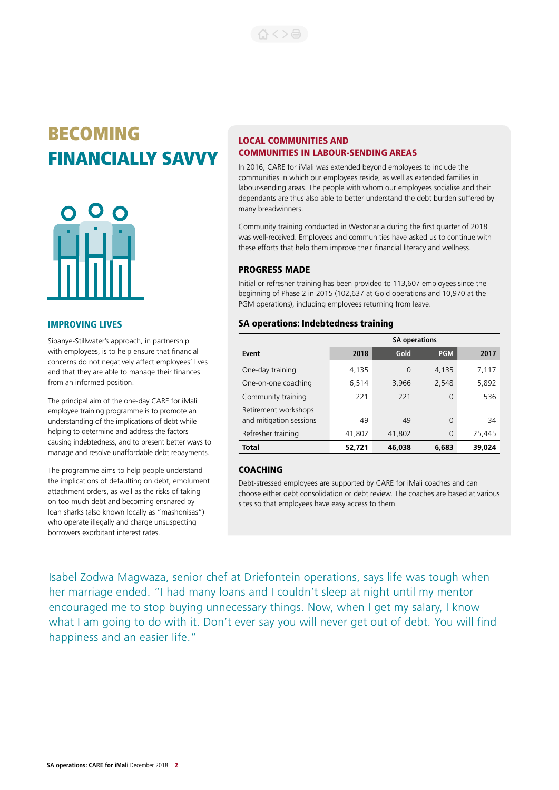# BECOMING FINANCIALLY SAVVY



### IMPROVING LIVES

Sibanye-Stillwater's approach, in partnership with employees, is to help ensure that financial concerns do not negatively affect employees' lives and that they are able to manage their finances from an informed position.

The principal aim of the one-day CARE for iMali employee training programme is to promote an understanding of the implications of debt while helping to determine and address the factors causing indebtedness, and to present better ways to manage and resolve unaffordable debt repayments.

The programme aims to help people understand the implications of defaulting on debt, emolument attachment orders, as well as the risks of taking on too much debt and becoming ensnared by loan sharks (also known locally as "mashonisas") who operate illegally and charge unsuspecting borrowers exorbitant interest rates.

### LOCAL COMMUNITIES AND COMMUNITIES IN LABOUR-SENDING AREAS

In 2016, CARE for iMali was extended beyond employees to include the communities in which our employees reside, as well as extended families in labour-sending areas. The people with whom our employees socialise and their dependants are thus also able to better understand the debt burden suffered by many breadwinners.

Community training conducted in Westonaria during the first quarter of 2018 was well-received. Employees and communities have asked us to continue with these efforts that help them improve their financial literacy and wellness.

### PROGRESS MADE

Initial or refresher training has been provided to 113,607 employees since the beginning of Phase 2 in 2015 (102,637 at Gold operations and 10,970 at the PGM operations), including employees returning from leave.

### SA operations: Indebtedness training

|                                                 | <b>SA operations</b> |        |            |        |  |  |
|-------------------------------------------------|----------------------|--------|------------|--------|--|--|
| Event                                           | 2018                 | Gold   | <b>PGM</b> | 2017   |  |  |
| One-day training                                | 4,135                | 0      | 4,135      | 7,117  |  |  |
| One-on-one coaching                             | 6,514                | 3,966  | 2,548      | 5,892  |  |  |
| Community training                              | 221                  | 221    | 0          | 536    |  |  |
| Retirement workshops<br>and mitigation sessions | 49                   | 49     | 0          | 34     |  |  |
| Refresher training                              | 41,802               | 41,802 | 0          | 25,445 |  |  |
| Total                                           | 52,721               | 46,038 | 6,683      | 39,024 |  |  |

### **COACHING**

Debt-stressed employees are supported by CARE for iMali coaches and can choose either debt consolidation or debt review. The coaches are based at various sites so that employees have easy access to them.

Isabel Zodwa Magwaza, senior chef at Driefontein operations, says life was tough when her marriage ended. "I had many loans and I couldn't sleep at night until my mentor encouraged me to stop buying unnecessary things. Now, when I get my salary, I know what I am going to do with it. Don't ever say you will never get out of debt. You will find happiness and an easier life."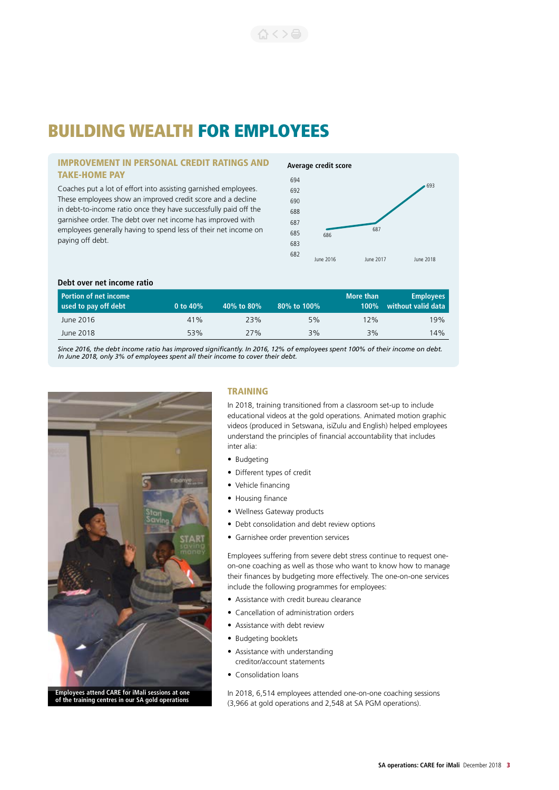# BUILDING WEALTH FOR EMPLOYEES

### IMPROVEMENT IN PERSONAL CREDIT RATINGS AND TAKE-HOME PAY

Coaches put a lot of effort into assisting garnished employees. These employees show an improved credit score and a decline in debt-to-income ratio once they have successfully paid off the garnishee order. The debt over net income has improved with employees generally having to spend less of their net income on paying off debt.

### **Average credit score**



### **Debt over net income ratio**

| <b>Portion of net income</b><br>used to pay off debt | 0 to 40% | 40% to 80% | 80% to 100% | More than<br>$100\%$ | <b>Employees</b><br>without valid data |
|------------------------------------------------------|----------|------------|-------------|----------------------|----------------------------------------|
| June 2016                                            | 41%      | 23%        | 5%          | 12%                  | 19%                                    |
| June 2018                                            | 53%      | 77%        | 3%          | 3%                   | 14%                                    |
|                                                      |          |            |             |                      |                                        |

*Since 2016, the debt income ratio has improved significantly. In 2016, 12% of employees spent 100% of their income on debt. In June 2018, only 3% of employees spent all their income to cover their debt.*



### TRAINING

In 2018, training transitioned from a classroom set-up to include educational videos at the gold operations. Animated motion graphic videos (produced in Setswana, isiZulu and English) helped employees understand the principles of financial accountability that includes inter alia:

- Budgeting
- Different types of credit
- Vehicle financing
- Housing finance
- Wellness Gateway products
- Debt consolidation and debt review options
- Garnishee order prevention services

Employees suffering from severe debt stress continue to request oneon-one coaching as well as those who want to know how to manage their finances by budgeting more effectively. The one-on-one services include the following programmes for employees:

- Assistance with credit bureau clearance
- Cancellation of administration orders
- Assistance with debt review
- Budgeting booklets
- Assistance with understanding creditor/account statements
- Consolidation loans

In 2018, 6,514 employees attended one-on-one coaching sessions (3,966 at gold operations and 2,548 at SA PGM operations).

## **of the training centres in our SA gold operations**